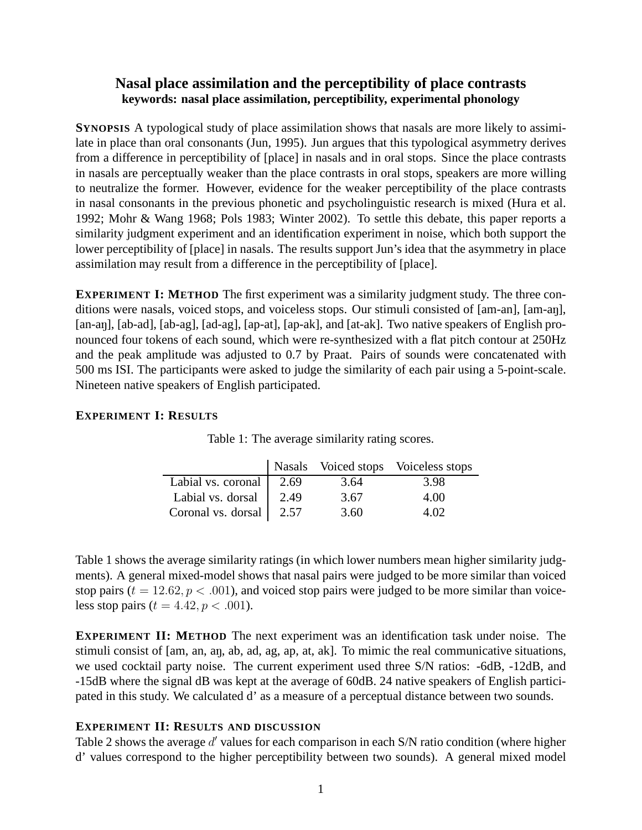## **Nasal place assimilation and the perceptibility of place contrasts keywords: nasal place assimilation, perceptibility, experimental phonology**

**SYNOPSIS** A typological study of place assimilation shows that nasals are more likely to assimilate in place than oral consonants (Jun, 1995). Jun argues that this typological asymmetry derives from a difference in perceptibility of [place] in nasals and in oral stops. Since the place contrasts in nasals are perceptually weaker than the place contrasts in oral stops, speakers are more willing to neutralize the former. However, evidence for the weaker perceptibility of the place contrasts in nasal consonants in the previous phonetic and psycholinguistic research is mixed (Hura et al. 1992; Mohr & Wang 1968; Pols 1983; Winter 2002). To settle this debate, this paper reports a similarity judgment experiment and an identification experiment in noise, which both support the lower perceptibility of [place] in nasals. The results support Jun's idea that the asymmetry in place assimilation may result from a difference in the perceptibility of [place].

**EXPERIMENT I: METHOD** The first experiment was a similarity judgment study. The three conditions were nasals, voiced stops, and voiceless stops. Our stimuli consisted of [am-an], [am-an], [an-an], [ab-ad], [ab-ag], [ad-ag], [ap-at], [ap-ak], and [at-ak]. Two native speakers of English pronounced four tokens of each sound, which were re-synthesized with a flat pitch contour at 250Hz and the peak amplitude was adjusted to 0.7 by Praat. Pairs of sounds were concatenated with 500 ms ISI. The participants were asked to judge the similarity of each pair using a 5-point-scale. Nineteen native speakers of English participated.

## **EXPERIMENT I: RESULTS**

|                          |      |      | Nasals Voiced stops Voiceless stops |
|--------------------------|------|------|-------------------------------------|
| Labial vs. coronal       | 2.69 | 3.64 | 3.98                                |
| Labial vs. dorsal   2.49 |      | 3.67 | 4.00                                |
| Coronal vs. dorsal 2.57  |      | 3.60 | 4.02                                |

|  | Table 1: The average similarity rating scores. |  |  |
|--|------------------------------------------------|--|--|
|  |                                                |  |  |

Table 1 shows the average similarity ratings (in which lower numbers mean higher similarity judgments). A general mixed-model shows that nasal pairs were judged to be more similar than voiced stop pairs ( $t = 12.62, p < .001$ ), and voiced stop pairs were judged to be more similar than voiceless stop pairs ( $t = 4.42$ ,  $p < .001$ ).

**EXPERIMENT II: METHOD** The next experiment was an identification task under noise. The stimuli consist of [am, an, an, ab, ad, ag, ap, at, ak]. To mimic the real communicative situations, we used cocktail party noise. The current experiment used three S/N ratios: -6dB, -12dB, and -15dB where the signal dB was kept at the average of 60dB. 24 native speakers of English participated in this study. We calculated d' as a measure of a perceptual distance between two sounds.

## **EXPERIMENT II: RESULTS AND DISCUSSION**

Table 2 shows the average d' values for each comparison in each S/N ratio condition (where higher d' values correspond to the higher perceptibility between two sounds). A general mixed model